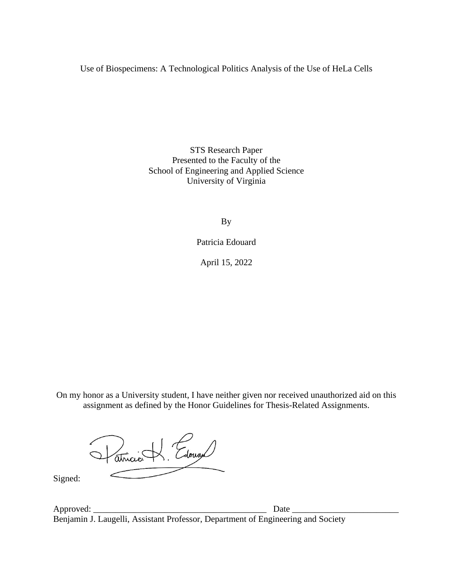Use of Biospecimens: A Technological Politics Analysis of the Use of HeLa Cells

STS Research Paper Presented to the Faculty of the School of Engineering and Applied Science University of Virginia

By

Patricia Edouard

April 15, 2022

On my honor as a University student, I have neither given nor received unauthorized aid on this assignment as defined by the Honor Guidelines for Thesis-Related Assignments.

Patricia H. Edouard

Signed:

Approved:  $\Box$ Benjamin J. Laugelli, Assistant Professor, Department of Engineering and Society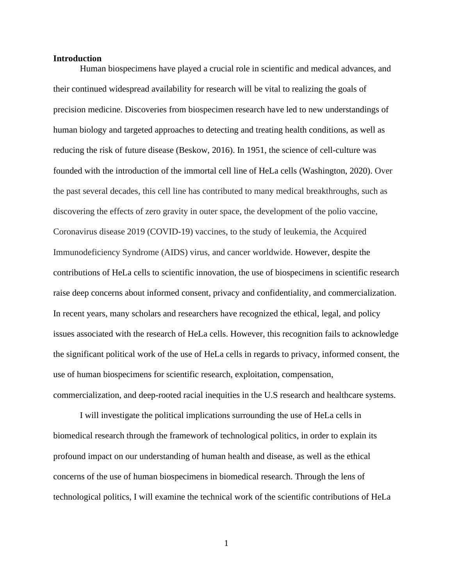#### **Introduction**

Human biospecimens have played a crucial role in scientific and medical advances, and their continued widespread availability for research will be vital to realizing the goals of precision medicine. Discoveries from biospecimen research have led to new understandings of human biology and targeted approaches to detecting and treating health conditions, as well as reducing the risk of future disease (Beskow, 2016). In 1951, the science of cell-culture was founded with the introduction of the immortal cell line of HeLa cells (Washington, 2020). Over the past several decades, this cell line has contributed to many medical breakthroughs, such as discovering the effects of zero gravity in outer space, the development of the polio vaccine, Coronavirus disease 2019 (COVID-19) vaccines, to the study of leukemia, the Acquired Immunodeficiency Syndrome (AIDS) virus, and cancer worldwide. However, despite the contributions of HeLa cells to scientific innovation, the use of biospecimens in scientific research raise deep concerns about informed consent, privacy and confidentiality, and commercialization. In recent years, many scholars and researchers have recognized the ethical, legal, and policy issues associated with the research of HeLa cells. However, this recognition fails to acknowledge the significant political work of the use of HeLa cells in regards to privacy, informed consent, the use of human biospecimens for scientific research, exploitation, compensation, commercialization, and deep-rooted racial inequities in the U.S research and healthcare systems.

I will investigate the political implications surrounding the use of HeLa cells in biomedical research through the framework of technological politics, in order to explain its profound impact on our understanding of human health and disease, as well as the ethical concerns of the use of human biospecimens in biomedical research. Through the lens of technological politics, I will examine the technical work of the scientific contributions of HeLa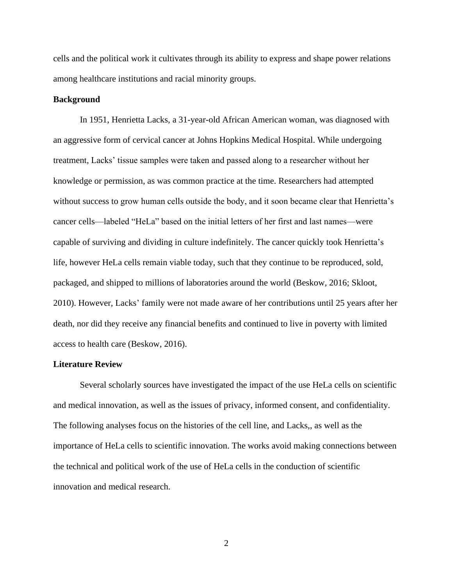cells and the political work it cultivates through its ability to express and shape power relations among healthcare institutions and racial minority groups.

## **Background**

In 1951, Henrietta Lacks, a 31-year-old African American woman, was diagnosed with an aggressive form of cervical cancer at Johns Hopkins Medical Hospital. While undergoing treatment, Lacks' tissue samples were taken and passed along to a researcher without her knowledge or permission, as was common practice at the time. Researchers had attempted without success to grow human cells outside the body, and it soon became clear that Henrietta's cancer cells—labeled "HeLa" based on the initial letters of her first and last names—were capable of surviving and dividing in culture indefinitely. The cancer quickly took Henrietta's life, however HeLa cells remain viable today, such that they continue to be reproduced, sold, packaged, and shipped to millions of laboratories around the world (Beskow, 2016; Skloot, 2010). However, Lacks' family were not made aware of her contributions until 25 years after her death, nor did they receive any financial benefits and continued to live in poverty with limited access to health care (Beskow, 2016).

## **Literature Review**

Several scholarly sources have investigated the impact of the use HeLa cells on scientific and medical innovation, as well as the issues of privacy, informed consent, and confidentiality. The following analyses focus on the histories of the cell line, and Lacks,, as well as the importance of HeLa cells to scientific innovation. The works avoid making connections between the technical and political work of the use of HeLa cells in the conduction of scientific innovation and medical research.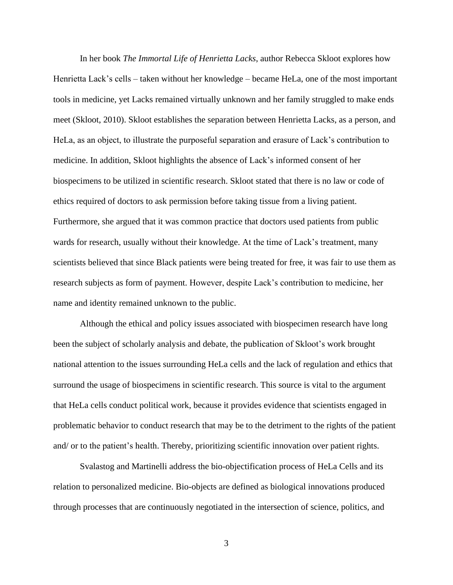In her book *The Immortal Life of Henrietta Lacks*, author Rebecca Skloot explores how Henrietta Lack's cells – taken without her knowledge – became HeLa, one of the most important tools in medicine, yet Lacks remained virtually unknown and her family struggled to make ends meet (Skloot, 2010). Skloot establishes the separation between Henrietta Lacks, as a person, and HeLa, as an object, to illustrate the purposeful separation and erasure of Lack's contribution to medicine. In addition, Skloot highlights the absence of Lack's informed consent of her biospecimens to be utilized in scientific research. Skloot stated that there is no law or code of ethics required of doctors to ask permission before taking tissue from a living patient. Furthermore, she argued that it was common practice that doctors used patients from public wards for research, usually without their knowledge. At the time of Lack's treatment, many scientists believed that since Black patients were being treated for free, it was fair to use them as research subjects as form of payment. However, despite Lack's contribution to medicine, her name and identity remained unknown to the public.

Although the ethical and policy issues associated with biospecimen research have long been the subject of scholarly analysis and debate, the publication of Skloot's work brought national attention to the issues surrounding HeLa cells and the lack of regulation and ethics that surround the usage of biospecimens in scientific research. This source is vital to the argument that HeLa cells conduct political work, because it provides evidence that scientists engaged in problematic behavior to conduct research that may be to the detriment to the rights of the patient and/ or to the patient's health. Thereby, prioritizing scientific innovation over patient rights.

Svalastog and Martinelli address the bio-objectification process of HeLa Cells and its relation to personalized medicine. Bio-objects are defined as biological innovations produced through processes that are continuously negotiated in the intersection of science, politics, and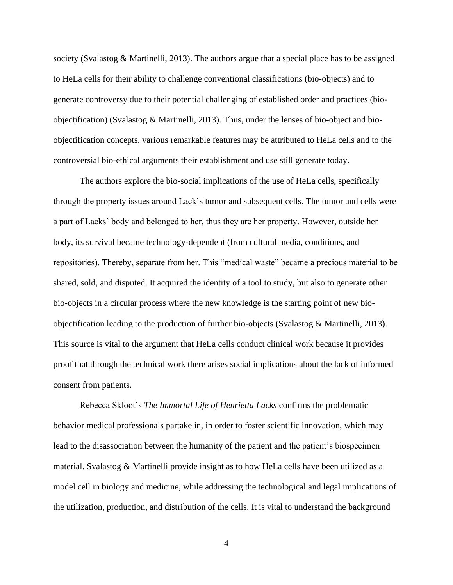society (Svalastog & Martinelli, 2013). The authors argue that a special place has to be assigned to HeLa cells for their ability to challenge conventional classifications (bio-objects) and to generate controversy due to their potential challenging of established order and practices (bioobjectification) (Svalastog & Martinelli, 2013). Thus, under the lenses of bio-object and bioobjectification concepts, various remarkable features may be attributed to HeLa cells and to the controversial bio-ethical arguments their establishment and use still generate today.

The authors explore the bio-social implications of the use of HeLa cells, specifically through the property issues around Lack's tumor and subsequent cells. The tumor and cells were a part of Lacks' body and belonged to her, thus they are her property. However, outside her body, its survival became technology-dependent (from cultural media, conditions, and repositories). Thereby, separate from her. This "medical waste" became a precious material to be shared, sold, and disputed. It acquired the identity of a tool to study, but also to generate other bio-objects in a circular process where the new knowledge is the starting point of new bioobjectification leading to the production of further bio-objects (Svalastog & Martinelli, 2013). This source is vital to the argument that HeLa cells conduct clinical work because it provides proof that through the technical work there arises social implications about the lack of informed consent from patients.

Rebecca Skloot's *The Immortal Life of Henrietta Lacks* confirms the problematic behavior medical professionals partake in, in order to foster scientific innovation, which may lead to the disassociation between the humanity of the patient and the patient's biospecimen material. Svalastog  $\&$  Martinelli provide insight as to how HeLa cells have been utilized as a model cell in biology and medicine, while addressing the technological and legal implications of the utilization, production, and distribution of the cells. It is vital to understand the background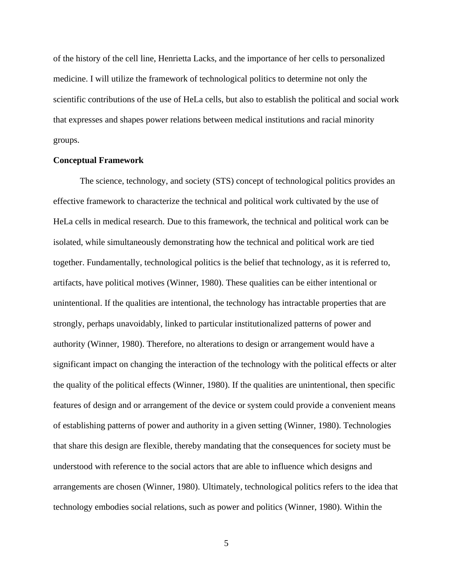of the history of the cell line, Henrietta Lacks, and the importance of her cells to personalized medicine. I will utilize the framework of technological politics to determine not only the scientific contributions of the use of HeLa cells, but also to establish the political and social work that expresses and shapes power relations between medical institutions and racial minority groups.

## **Conceptual Framework**

The science, technology, and society (STS) concept of technological politics provides an effective framework to characterize the technical and political work cultivated by the use of HeLa cells in medical research. Due to this framework, the technical and political work can be isolated, while simultaneously demonstrating how the technical and political work are tied together. Fundamentally, technological politics is the belief that technology, as it is referred to, artifacts, have political motives (Winner, 1980). These qualities can be either intentional or unintentional. If the qualities are intentional, the technology has intractable properties that are strongly, perhaps unavoidably, linked to particular institutionalized patterns of power and authority (Winner, 1980). Therefore, no alterations to design or arrangement would have a significant impact on changing the interaction of the technology with the political effects or alter the quality of the political effects (Winner, 1980). If the qualities are unintentional, then specific features of design and or arrangement of the device or system could provide a convenient means of establishing patterns of power and authority in a given setting (Winner, 1980). Technologies that share this design are flexible, thereby mandating that the consequences for society must be understood with reference to the social actors that are able to influence which designs and arrangements are chosen (Winner, 1980). Ultimately, technological politics refers to the idea that technology embodies social relations, such as power and politics (Winner, 1980). Within the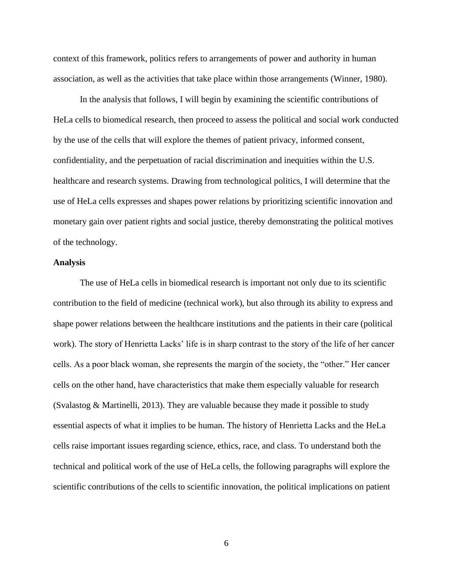context of this framework, politics refers to arrangements of power and authority in human association, as well as the activities that take place within those arrangements (Winner, 1980).

In the analysis that follows, I will begin by examining the scientific contributions of HeLa cells to biomedical research, then proceed to assess the political and social work conducted by the use of the cells that will explore the themes of patient privacy, informed consent, confidentiality, and the perpetuation of racial discrimination and inequities within the U.S. healthcare and research systems. Drawing from technological politics, I will determine that the use of HeLa cells expresses and shapes power relations by prioritizing scientific innovation and monetary gain over patient rights and social justice, thereby demonstrating the political motives of the technology.

# **Analysis**

The use of HeLa cells in biomedical research is important not only due to its scientific contribution to the field of medicine (technical work), but also through its ability to express and shape power relations between the healthcare institutions and the patients in their care (political work). The story of Henrietta Lacks' life is in sharp contrast to the story of the life of her cancer cells. As a poor black woman, she represents the margin of the society, the "other." Her cancer cells on the other hand, have characteristics that make them especially valuable for research (Svalastog & Martinelli, 2013). They are valuable because they made it possible to study essential aspects of what it implies to be human. The history of Henrietta Lacks and the HeLa cells raise important issues regarding science, ethics, race, and class. To understand both the technical and political work of the use of HeLa cells, the following paragraphs will explore the scientific contributions of the cells to scientific innovation, the political implications on patient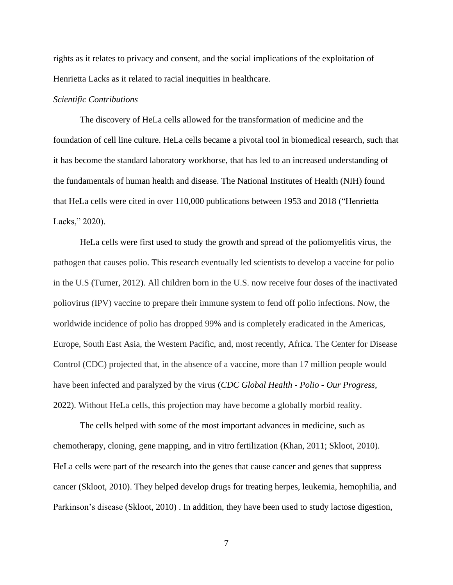rights as it relates to privacy and consent, and the social implications of the exploitation of Henrietta Lacks as it related to racial inequities in healthcare.

# *Scientific Contributions*

The discovery of HeLa cells allowed for the transformation of medicine and the foundation of cell line culture. HeLa cells became a pivotal tool in biomedical research, such that it has become the standard laboratory workhorse, that has led to an increased understanding of the fundamentals of human health and disease. The National Institutes of Health (NIH) found that HeLa cells were cited in over 110,000 publications between 1953 and 2018 ("Henrietta Lacks," 2020).

HeLa cells were first used to study the growth and spread of the poliomyelitis virus, the pathogen that causes polio. This research eventually led scientists to develop a vaccine for polio in the U.S (Turner, 2012). All children born in the U.S. now receive four doses of the inactivated poliovirus (IPV) vaccine to prepare their immune system to fend off polio infections. Now, the worldwide incidence of polio has dropped 99% and is completely eradicated in the Americas, Europe, South East Asia, the Western Pacific, and, most recently, Africa. The Center for Disease Control (CDC) projected that, in the absence of a vaccine, more than 17 million people would have been infected and paralyzed by the virus (*CDC Global Health - Polio - Our Progress*, 2022). Without HeLa cells, this projection may have become a globally morbid reality.

The cells helped with some of the most important advances in medicine, such as chemotherapy, cloning, gene mapping, and in vitro fertilization (Khan, 2011; Skloot, 2010). HeLa cells were part of the research into the genes that cause cancer and genes that suppress cancer (Skloot, 2010). They helped develop drugs for treating herpes, leukemia, hemophilia, and Parkinson's disease (Skloot, 2010) . In addition, they have been used to study lactose digestion,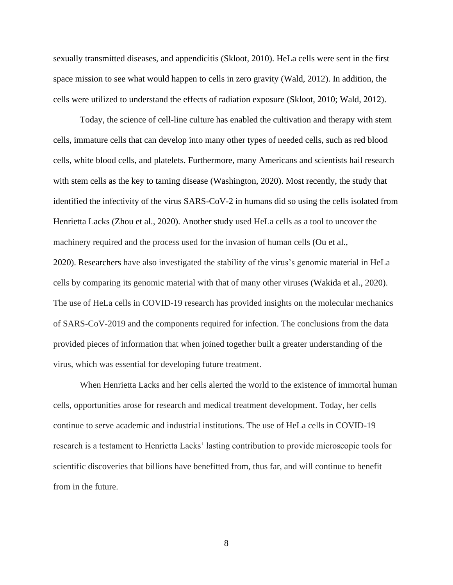sexually transmitted diseases, and appendicitis (Skloot, 2010). HeLa cells were sent in the first space mission to see what would happen to cells in zero gravity (Wald, 2012). In addition, the cells were utilized to understand the effects of radiation exposure (Skloot, 2010; Wald, 2012).

Today, the science of cell-line culture has enabled the cultivation and therapy with stem cells, immature cells that can develop into many other types of needed cells, such as red blood cells, white blood cells, and platelets. Furthermore, many Americans and scientists hail research with stem cells as the key to taming disease (Washington, 2020). Most recently, the study that identified the infectivity of the virus SARS-CoV-2 in humans did so using the cells isolated from Henrietta Lacks (Zhou et al., 2020). Another study used HeLa cells as a tool to uncover the machinery required and the process used for the invasion of human cells (Ou et al., 2020). Researchers have also investigated the stability of the virus's genomic material in HeLa cells by comparing its genomic material with that of many other viruses (Wakida et al., 2020). The use of HeLa cells in COVID-19 research has provided insights on the molecular mechanics of SARS-CoV-2019 and the components required for infection. The conclusions from the data provided pieces of information that when joined together built a greater understanding of the virus, which was essential for developing future treatment.

When Henrietta Lacks and her cells alerted the world to the existence of immortal human cells, opportunities arose for research and medical treatment development. Today, her cells continue to serve academic and industrial institutions. The use of HeLa cells in COVID-19 research is a testament to Henrietta Lacks' lasting contribution to provide microscopic tools for scientific discoveries that billions have benefitted from, thus far, and will continue to benefit from in the future.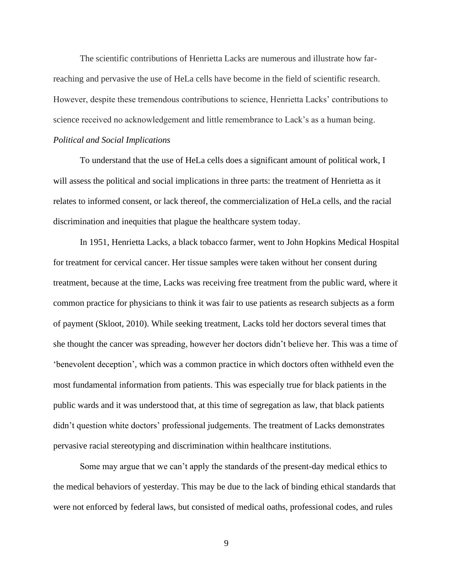The scientific contributions of Henrietta Lacks are numerous and illustrate how farreaching and pervasive the use of HeLa cells have become in the field of scientific research. However, despite these tremendous contributions to science, Henrietta Lacks' contributions to science received no acknowledgement and little remembrance to Lack's as a human being. *Political and Social Implications*

To understand that the use of HeLa cells does a significant amount of political work, I will assess the political and social implications in three parts: the treatment of Henrietta as it relates to informed consent, or lack thereof, the commercialization of HeLa cells, and the racial discrimination and inequities that plague the healthcare system today.

In 1951, Henrietta Lacks, a black tobacco farmer, went to John Hopkins Medical Hospital for treatment for cervical cancer. Her tissue samples were taken without her consent during treatment, because at the time, Lacks was receiving free treatment from the public ward, where it common practice for physicians to think it was fair to use patients as research subjects as a form of payment (Skloot, 2010). While seeking treatment, Lacks told her doctors several times that she thought the cancer was spreading, however her doctors didn't believe her. This was a time of 'benevolent deception', which was a common practice in which doctors often withheld even the most fundamental information from patients. This was especially true for black patients in the public wards and it was understood that, at this time of segregation as law, that black patients didn't question white doctors' professional judgements. The treatment of Lacks demonstrates pervasive racial stereotyping and discrimination within healthcare institutions.

Some may argue that we can't apply the standards of the present-day medical ethics to the medical behaviors of yesterday. This may be due to the lack of binding ethical standards that were not enforced by federal laws, but consisted of medical oaths, professional codes, and rules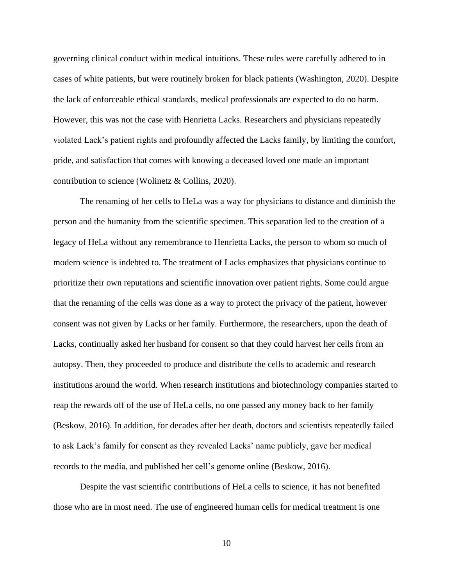governing clinical conduct within medical intuitions. These rules were carefully adhered to in cases of white patients, but were routinely broken for black patients (Washington, 2020). Despite the lack of enforceable ethical standards, medical professionals are expected to do no harm. However, this was not the case with Henrietta Lacks. Researchers and physicians repeatedly violated Lack's patient rights and profoundly affected the Lacks family, by limiting the comfort, pride, and satisfaction that comes with knowing a deceased loved one made an important contribution to science (Wolinetz & Collins, 2020).

The renaming of her cells to HeLa was a way for physicians to distance and diminish the person and the humanity from the scientific specimen. This separation led to the creation of a legacy of HeLa without any remembrance to Henrietta Lacks, the person to whom so much of modern science is indebted to. The treatment of Lacks emphasizes that physicians continue to prioritize their own reputations and scientific innovation over patient rights. Some could argue that the renaming of the cells was done as a way to protect the privacy of the patient, however consent was not given by Lacks or her family. Furthermore, the researchers, upon the death of Lacks, continually asked her husband for consent so that they could harvest her cells from an autopsy. Then, they proceeded to produce and distribute the cells to academic and research institutions around the world. When research institutions and biotechnology companies started to reap the rewards off of the use of HeLa cells, no one passed any money back to her family (Beskow, 2016). In addition, for decades after her death, doctors and scientists repeatedly failed to ask Lack's family for consent as they revealed Lacks' name publicly, gave her medical records to the media, and published her cell's genome online (Beskow, 2016).

Despite the vast scientific contributions of HeLa cells to science, it has not benefited those who are in most need. The use of engineered human cells for medical treatment is one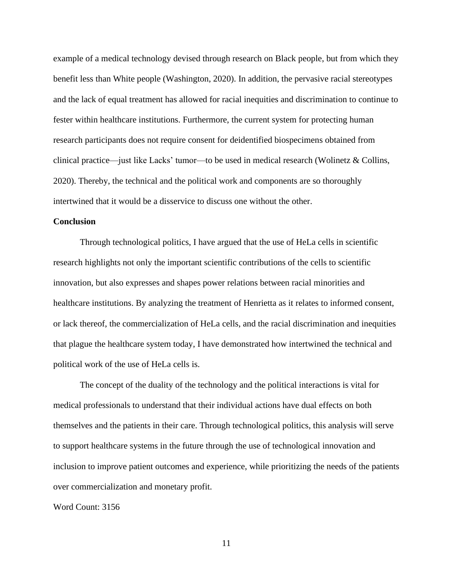example of a medical technology devised through research on Black people, but from which they benefit less than White people (Washington, 2020). In addition, the pervasive racial stereotypes and the lack of equal treatment has allowed for racial inequities and discrimination to continue to fester within healthcare institutions. Furthermore, the current system for protecting human research participants does not require consent for deidentified biospecimens obtained from clinical practice—just like Lacks' tumor—to be used in medical research (Wolinetz & Collins, 2020). Thereby, the technical and the political work and components are so thoroughly intertwined that it would be a disservice to discuss one without the other.

## **Conclusion**

Through technological politics, I have argued that the use of HeLa cells in scientific research highlights not only the important scientific contributions of the cells to scientific innovation, but also expresses and shapes power relations between racial minorities and healthcare institutions. By analyzing the treatment of Henrietta as it relates to informed consent, or lack thereof, the commercialization of HeLa cells, and the racial discrimination and inequities that plague the healthcare system today, I have demonstrated how intertwined the technical and political work of the use of HeLa cells is.

The concept of the duality of the technology and the political interactions is vital for medical professionals to understand that their individual actions have dual effects on both themselves and the patients in their care. Through technological politics, this analysis will serve to support healthcare systems in the future through the use of technological innovation and inclusion to improve patient outcomes and experience, while prioritizing the needs of the patients over commercialization and monetary profit.

Word Count: 3156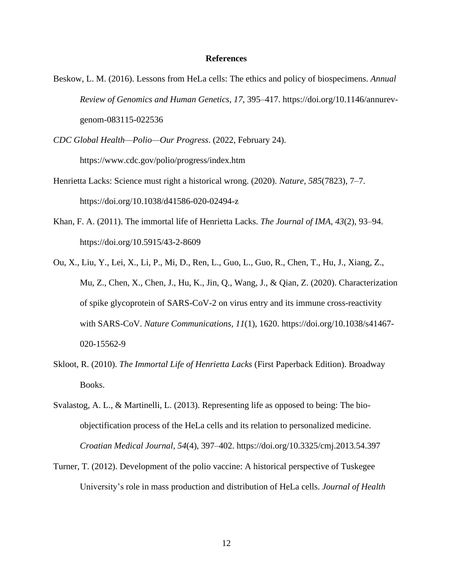#### **References**

- Beskow, L. M. (2016). Lessons from HeLa cells: The ethics and policy of biospecimens. *Annual Review of Genomics and Human Genetics*, *17*, 395–417. https://doi.org/10.1146/annurevgenom-083115-022536
- *CDC Global Health—Polio—Our Progress*. (2022, February 24).

https://www.cdc.gov/polio/progress/index.htm

- Henrietta Lacks: Science must right a historical wrong. (2020). *Nature*, *585*(7823), 7–7. https://doi.org/10.1038/d41586-020-02494-z
- Khan, F. A. (2011). The immortal life of Henrietta Lacks. *The Journal of IMA*, *43*(2), 93–94. https://doi.org/10.5915/43-2-8609
- Ou, X., Liu, Y., Lei, X., Li, P., Mi, D., Ren, L., Guo, L., Guo, R., Chen, T., Hu, J., Xiang, Z., Mu, Z., Chen, X., Chen, J., Hu, K., Jin, Q., Wang, J., & Qian, Z. (2020). Characterization of spike glycoprotein of SARS-CoV-2 on virus entry and its immune cross-reactivity with SARS-CoV. *Nature Communications*, *11*(1), 1620. https://doi.org/10.1038/s41467- 020-15562-9
- Skloot, R. (2010). *The Immortal Life of Henrietta Lacks* (First Paperback Edition). Broadway Books.
- Svalastog, A. L., & Martinelli, L. (2013). Representing life as opposed to being: The bioobjectification process of the HeLa cells and its relation to personalized medicine. *Croatian Medical Journal*, *54*(4), 397–402. https://doi.org/10.3325/cmj.2013.54.397
- Turner, T. (2012). Development of the polio vaccine: A historical perspective of Tuskegee University's role in mass production and distribution of HeLa cells. *Journal of Health*